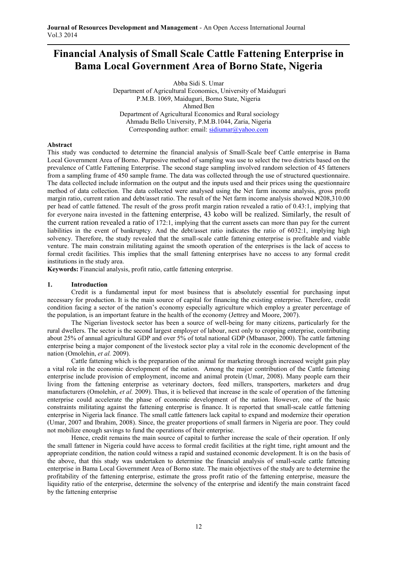# **Financial Analysis of Small Scale Cattle Fattening Enterprise in Bama Local Government Area of Borno State, Nigeria**

Abba Sidi S. Umar Department of Agricultural Economics, University of Maiduguri P.M.B. 1069, Maiduguri, Borno State, Nigeria Ahmed Ben Department of Agricultural Economics and Rural sociology Ahmadu Bello University, P.M.B.1044, Zaria, Nigeria Corresponding author: email: sidiumar@yahoo.com

## **Abstract**

This study was conducted to determine the financial analysis of Small-Scale beef Cattle enterprise in Bama Local Government Area of Borno. Purposive method of sampling was use to select the two districts based on the prevalence of Cattle Fattening Enterprise. The second stage sampling involved random selection of 45 fatteners from a sampling frame of 450 sample frame. The data was collected through the use of structured questionnaire. The data collected include information on the output and the inputs used and their prices using the questionnaire method of data collection. The data collected were analysed using the Net farm income analysis, gross profit margin ratio, current ration and debt/asset ratio. The result of the Net farm income analysis showed  $\text{H208,310.00}$ per head of cattle fattened. The result of the gross profit margin ration revealed a ratio of 0.43:1, implying that for everyone naira invested in the fattening enterprise, 43 kobo will be realized. Similarly, the result of the current ration revealed a ratio of 172:1, implying that the current assets can more than pay for the current liabilities in the event of bankruptcy. And the debt/asset ratio indicates the ratio of 6032:1, implying high solvency. Therefore, the study revealed that the small-scale cattle fattening enterprise is profitable and viable venture. The main constrain militating against the smooth operation of the enterprises is the lack of access to formal credit facilities. This implies that the small fattening enterprises have no access to any formal credit institutions in the study area.

**Keywords:** Financial analysis, profit ratio, cattle fattening enterprise.

#### **1. Introduction**

Credit is a fundamental input for most business that is absolutely essential for purchasing input necessary for production. It is the main source of capital for financing the existing enterprise. Therefore, credit condition facing a sector of the nation's economy especially agriculture which employ a greater percentage of the population, is an important feature in the health of the economy (Jettrey and Moore, 2007).

The Nigerian livestock sector has been a source of well-being for many citizens, particularly for the rural dwellers. The sector is the second largest employer of labour, next only to cropping enterprise, contributing about 25% of annual agricultural GDP and over 5% of total national GDP (Mbanasor, 2000). The cattle fattening enterprise being a major component of the livestock sector play a vital role in the economic development of the nation (Omolehin, *et al.* 2009).

Cattle fattening which is the preparation of the animal for marketing through increased weight gain play a vital role in the economic development of the nation. Among the major contribution of the Cattle fattening enterprise include provision of employment, income and animal protein (Umar, 2008). Many people earn their living from the fattening enterprise as veterinary doctors, feed millers, transporters, marketers and drug manufacturers (Omolehin, *et al.* 2009). Thus, it is believed that increase in the scale of operation of the fattening enterprise could accelerate the phase of economic development of the nation. However, one of the basic constraints militating against the fattening enterprise is finance. It is reported that small-scale cattle fattening enterprise in Nigeria lack finance. The small cattle fatteners lack capital to expand and modernize their operation (Umar, 2007 and Ibrahim, 2008). Since, the greater proportions of small farmers in Nigeria are poor. They could not mobilize enough savings to fund the operations of their enterprise.

Hence, credit remains the main source of capital to further increase the scale of their operation. If only the small fattener in Nigeria could have access to formal credit facilities at the right time, right amount and the appropriate condition, the nation could witness a rapid and sustained economic development. It is on the basis of the above, that this study was undertaken to determine the financial analysis of small-scale cattle fattening enterprise in Bama Local Government Area of Borno state. The main objectives of the study are to determine the profitability of the fattening enterprise, estimate the gross profit ratio of the fattening enterprise, measure the liquidity ratio of the enterprise, determine the solvency of the enterprise and identify the main constraint faced by the fattening enterprise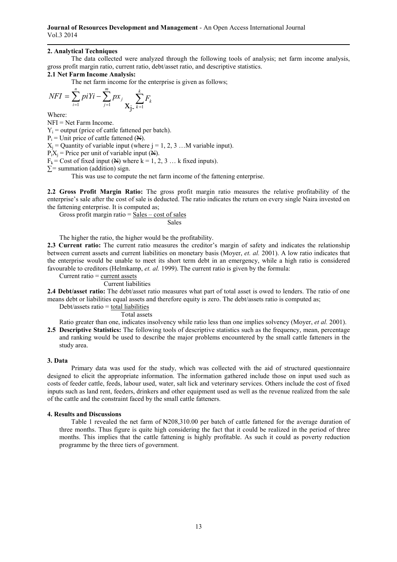## **2. Analytical Techniques**

 The data collected were analyzed through the following tools of analysis; net farm income analysis, gross profit margin ratio, current ratio, debt/asset ratio, and descriptive statistics.

# **2.1 Net Farm Income Analysis:**

The net farm income for the enterprise is given as follows;

$$
NFI = \sum_{i=1}^{n} piYi - \sum_{j=1}^{m} px_j \sum_{k=1}^{k} F_k
$$

Where:

NFI = Net Farm Income.

 $Y_i$  = output (price of cattle fattened per batch).

 $P_i$  = Unit price of cattle fattened (N).

 $X_j$  = Quantity of variable input (where  $j = 1, 2, 3, \dots$  variable input).

 $P_i X_j$  = Price per unit of variable input ( $\mathbf{A}$ ).

 $F_k$  = Cost of fixed input (N) where  $k = 1, 2, 3...$  k fixed inputs).

*∑=* summation (addition) sign.

This was use to compute the net farm income of the fattening enterprise.

**2.2 Gross Profit Margin Ratio:** The gross profit margin ratio measures the relative profitability of the enterprise's sale after the cost of sale is deducted. The ratio indicates the return on every single Naira invested on the fattening enterprise. It is computed as;

Gross profit margin ratio  $=$  Sales  $-$  cost of sales

Sales

The higher the ratio, the higher would be the profitability.

**2.3 Current ratio:** The current ratio measures the creditor's margin of safety and indicates the relationship between current assets and current liabilities on monetary basis (Moyer, *et. al.* 2001). A low ratio indicates that the enterprise would be unable to meet its short term debt in an emergency, while a high ratio is considered favourable to creditors (Helmkamp, *et. al.* 1999). The current ratio is given by the formula:

Current ratio = current assets

## Current liabilities

**2.4 Debt/asset ratio:** The debt/asset ratio measures what part of total asset is owed to lenders. The ratio of one means debt or liabilities equal assets and therefore equity is zero. The debt/assets ratio is computed as;

Debt/assets ratio  $=$  total liabilities

Total assets

Ratio greater than one, indicates insolvency while ratio less than one implies solvency (Moyer, *et al.* 2001).

**2.5 Descriptive Statistics:** The following tools of descriptive statistics such as the frequency, mean, percentage and ranking would be used to describe the major problems encountered by the small cattle fatteners in the study area.

## **3. Data**

 Primary data was used for the study, which was collected with the aid of structured questionnaire designed to elicit the appropriate information. The information gathered include those on input used such as costs of feeder cattle, feeds, labour used, water, salt lick and veterinary services. Others include the cost of fixed inputs such as land rent, feeders, drinkers and other equipment used as well as the revenue realized from the sale of the cattle and the constraint faced by the small cattle fatteners.

## **4. Results and Discussions**

Table 1 revealed the net farm of  $\yen$ 208,310.00 per batch of cattle fattened for the average duration of three months. Thus figure is quite high considering the fact that it could be realized in the period of three months. This implies that the cattle fattening is highly profitable. As such it could as poverty reduction programme by the three tiers of government.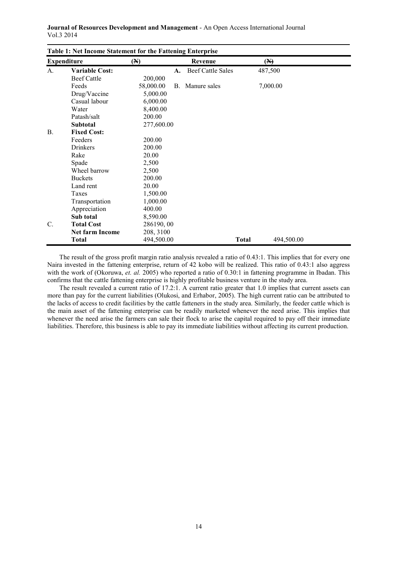| Table 1: Net Income Statement for the Fattening Enterprise<br><b>Expenditure</b><br>(N)<br>Revenue<br>$(\mathbb{A})$ |                        |            |    |                          |              |            |  |
|----------------------------------------------------------------------------------------------------------------------|------------------------|------------|----|--------------------------|--------------|------------|--|
|                                                                                                                      |                        |            |    |                          |              |            |  |
| A.                                                                                                                   | <b>Variable Cost:</b>  |            | A. | <b>Beef Cattle Sales</b> |              | 487,500    |  |
|                                                                                                                      | Beef Cattle            | 200,000    |    |                          |              |            |  |
|                                                                                                                      | Feeds                  | 58,000.00  |    | B. Manure sales          |              | 7,000.00   |  |
|                                                                                                                      | Drug/Vaccine           | 5,000.00   |    |                          |              |            |  |
|                                                                                                                      | Casual labour          | 6,000.00   |    |                          |              |            |  |
|                                                                                                                      | Water                  | 8,400.00   |    |                          |              |            |  |
|                                                                                                                      | Patash/salt            | 200.00     |    |                          |              |            |  |
|                                                                                                                      | <b>Subtotal</b>        | 277,600.00 |    |                          |              |            |  |
| <b>B.</b>                                                                                                            | <b>Fixed Cost:</b>     |            |    |                          |              |            |  |
|                                                                                                                      | Feeders                | 200.00     |    |                          |              |            |  |
|                                                                                                                      | <b>Drinkers</b>        | 200.00     |    |                          |              |            |  |
|                                                                                                                      | Rake                   | 20.00      |    |                          |              |            |  |
|                                                                                                                      | Spade                  | 2,500      |    |                          |              |            |  |
|                                                                                                                      | Wheel barrow           | 2,500      |    |                          |              |            |  |
|                                                                                                                      | <b>Buckets</b>         | 200.00     |    |                          |              |            |  |
|                                                                                                                      | Land rent              | 20.00      |    |                          |              |            |  |
|                                                                                                                      | Taxes                  | 1,500.00   |    |                          |              |            |  |
|                                                                                                                      | Transportation         | 1,000.00   |    |                          |              |            |  |
|                                                                                                                      | Appreciation           | 400.00     |    |                          |              |            |  |
|                                                                                                                      | Sub total              | 8,590.00   |    |                          |              |            |  |
| C.                                                                                                                   | <b>Total Cost</b>      | 286190,00  |    |                          |              |            |  |
|                                                                                                                      | <b>Net farm Income</b> | 208, 3100  |    |                          |              |            |  |
|                                                                                                                      | <b>Total</b>           | 494,500.00 |    |                          | <b>Total</b> | 494,500.00 |  |

**Journal of Resources Development and Management** - An Open Access International Journal Vol.3 2014

The result of the gross profit margin ratio analysis revealed a ratio of 0.43:1. This implies that for every one Naira invested in the fattening enterprise, return of 42 kobo will be realized. This ratio of 0.43:1 also aggress with the work of (Okoruwa, et. al. 2005) who reported a ratio of 0.30:1 in fattening programme in Ibadan. This confirms that the cattle fattening enterprise is highly profitable business venture in the study area.

The result revealed a current ratio of 17.2:1. A current ratio greater that 1.0 implies that current assets can more than pay for the current liabilities (Olukosi, and Erhabor, 2005). The high current ratio can be attributed to the lacks of access to credit facilities by the cattle fatteners in the study area. Similarly, the feeder cattle which is the main asset of the fattening enterprise can be readily marketed whenever the need arise. This implies that whenever the need arise the farmers can sale their flock to arise the capital required to pay off their immediate liabilities. Therefore, this business is able to pay its immediate liabilities without affecting its current production.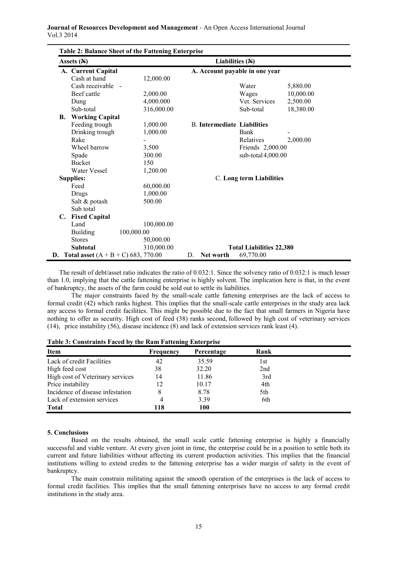| Assets $(A)$ |                        |                                                 | Liabilities $(A)$                  |                                 |           |
|--------------|------------------------|-------------------------------------------------|------------------------------------|---------------------------------|-----------|
|              | A. Current Capital     |                                                 |                                    | A. Account payable in one year  |           |
|              | Cash at hand           | 12,000.00                                       |                                    |                                 |           |
|              | Cash receivable -      |                                                 |                                    | Water                           | 5,880.00  |
|              | Beef cattle            | 2,000.00                                        |                                    | Wages                           | 10,000.00 |
|              | Dung                   | 4,000.000                                       |                                    | Vet. Services                   | 2,500.00  |
|              | Sub-total              | 316,000.00                                      |                                    | Sub-total                       | 18,380.00 |
| <b>B.</b>    | <b>Working Capital</b> |                                                 |                                    |                                 |           |
|              | Feeding trough         | 1,000.00                                        | <b>B.</b> Intermediate Liabilities |                                 |           |
|              | Drinking trough        | 1,000.00                                        |                                    | Bank                            |           |
|              | Rake                   |                                                 |                                    | Relatives                       | 2,000.00  |
|              | Wheel barrow           | 3,500                                           |                                    | Friends 2,000.00                |           |
|              | Spade                  | 300.00                                          |                                    | sub-total 4,000.00              |           |
|              | <b>Bucket</b>          | 150                                             |                                    |                                 |           |
|              | Water Vessel           | 1,200.00                                        |                                    |                                 |           |
|              | <b>Supplies:</b>       |                                                 |                                    | C. Long term Liabilities        |           |
|              | Feed                   | 60,000.00                                       |                                    |                                 |           |
|              | Drugs                  | 1,000.00                                        |                                    |                                 |           |
|              | Salt & potash          | 500.00                                          |                                    |                                 |           |
|              | Sub total              |                                                 |                                    |                                 |           |
| C.           | <b>Fixed Capital</b>   |                                                 |                                    |                                 |           |
|              | Land                   | 100,000.00                                      |                                    |                                 |           |
|              | <b>Building</b>        | 100,000.00                                      |                                    |                                 |           |
|              | <b>Stores</b>          | 50,000.00                                       |                                    |                                 |           |
|              | <b>Subtotal</b>        | 310,000.00                                      |                                    | <b>Total Liabilities 22,380</b> |           |
|              |                        | <b>D.</b> Total asset $(A + B + C)$ 683, 770.00 | Net worth<br>D.                    | 69,770.00                       |           |

The result of debt/asset ratio indicates the ratio of 0.032:1. Since the solvency ratio of 0.032:1 is much lesser than 1.0, implying that the cattle fattening enterprise is highly solvent. The implication here is that, in the event of bankruptcy, the assets of the farm could be sold out to settle its liabilities.

The major constraints faced by the small-scale cattle fattening enterprises are the lack of access to formal credit (42) which ranks highest. This implies that the small-scale cattle enterprises in the study area lack any access to formal credit facilities. This might be possible due to the fact that small farmers in Nigeria have nothing to offer as security. High cost of feed (38) ranks second, followed by high cost of veterinary services (14), price instability (56), disease incidence (8) and lack of extension services rank least (4).

| <b>Item</b>                      | Frequency | Percentage | Rank |  |
|----------------------------------|-----------|------------|------|--|
| Lack of credit Facilities        | 42        | 35.59      | l st |  |
| High feed cost                   | 38        | 32.20      | 2nd  |  |
| High cost of Veterinary services | 14        | 11.86      | 3rd  |  |
| Price instability                | 12        | 10.17      | 4th  |  |
| Incidence of disease infestation | 8         | 8.78       | 5th  |  |
| Lack of extension services       | 4         | 3.39       | 6th  |  |
| <b>Total</b>                     | 118       | 100        |      |  |

**Table 3: Constraints Faced by the Ram Fattening Enterprise** 

#### **5. Conclusions**

 Based on the results obtained, the small scale cattle fattening enterprise is highly a financially successful and viable venture. At every given joint in time, the enterprise could be in a position to settle both its current and future liabilities without affecting its current production activities. This implies that the financial institutions willing to extend credits to the fattening enterprise has a wider margin of safety in the event of bankruptcy.

 The main constrain militating against the smooth operation of the enterprises is the lack of access to formal credit facilities. This implies that the small fattening enterprises have no access to any formal credit institutions in the study area.